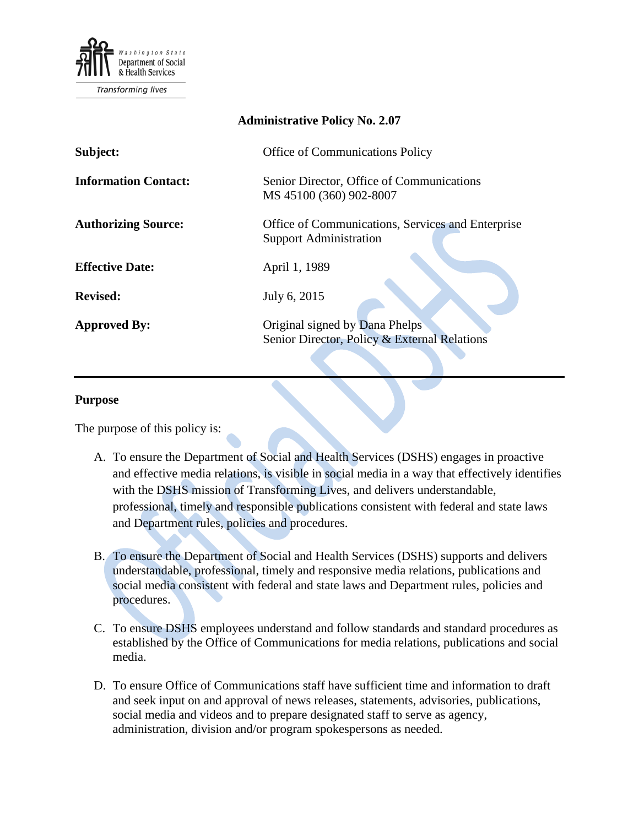

| <b>Administrative Policy No. 2.07</b> |                                                                                    |
|---------------------------------------|------------------------------------------------------------------------------------|
| Subject:                              | <b>Office of Communications Policy</b>                                             |
| <b>Information Contact:</b>           | Senior Director, Office of Communications<br>MS 45100 (360) 902-8007               |
| <b>Authorizing Source:</b>            | Office of Communications, Services and Enterprise<br><b>Support Administration</b> |
| <b>Effective Date:</b>                | April 1, 1989                                                                      |
| <b>Revised:</b>                       | July 6, 2015                                                                       |
| <b>Approved By:</b>                   | Original signed by Dana Phelps<br>Senior Director, Policy & External Relations     |

#### **Purpose**

The purpose of this policy is:

- A. To ensure the Department of Social and Health Services (DSHS) engages in proactive and effective media relations, is visible in social media in a way that effectively identifies with the DSHS mission of Transforming Lives, and delivers understandable, professional, timely and responsible publications consistent with federal and state laws and Department rules, policies and procedures.
- B. To ensure the Department of Social and Health Services (DSHS) supports and delivers understandable, professional, timely and responsive media relations, publications and social media consistent with federal and state laws and Department rules, policies and procedures.
- C. To ensure DSHS employees understand and follow standards and standard procedures as established by the Office of Communications for media relations, publications and social media.
- D. To ensure Office of Communications staff have sufficient time and information to draft and seek input on and approval of news releases, statements, advisories, publications, social media and videos and to prepare designated staff to serve as agency, administration, division and/or program spokespersons as needed.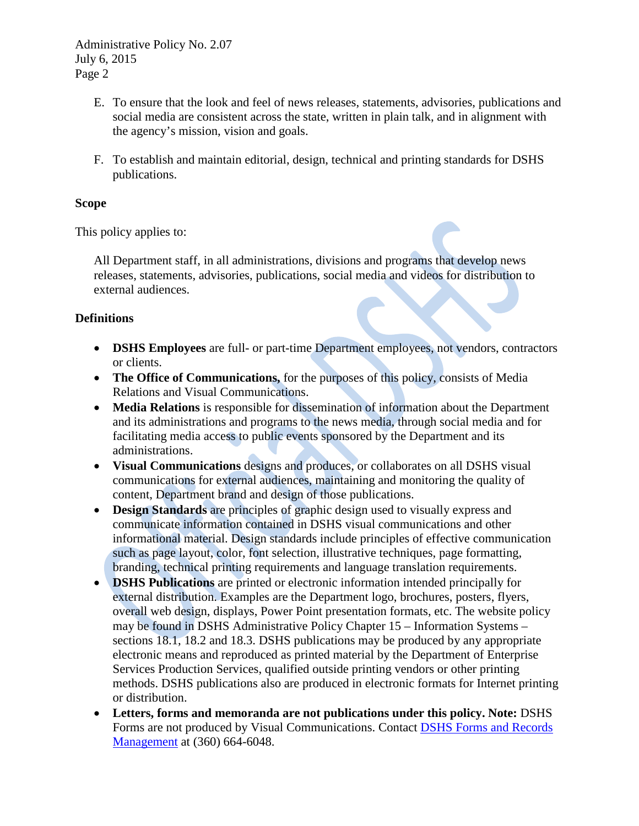Administrative Policy No. 2.07 July 6, 2015 Page 2

- E. To ensure that the look and feel of news releases, statements, advisories, publications and social media are consistent across the state, written in plain talk, and in alignment with the agency's mission, vision and goals.
- F. To establish and maintain editorial, design, technical and printing standards for DSHS publications.

#### **Scope**

This policy applies to:

All Department staff, in all administrations, divisions and programs that develop news releases, statements, advisories, publications, social media and videos for distribution to external audiences.

#### **Definitions**

- **DSHS Employees** are full- or part-time Department employees, not vendors, contractors or clients.
- **The Office of Communications,** for the purposes of this policy, consists of Media Relations and Visual Communications.
- **Media Relations** is responsible for dissemination of information about the Department and its administrations and programs to the news media, through social media and for facilitating media access to public events sponsored by the Department and its administrations.
- **Visual Communications** designs and produces, or collaborates on all DSHS visual communications for external audiences, maintaining and monitoring the quality of content, Department brand and design of those publications.
- **Design Standards** are principles of graphic design used to visually express and communicate information contained in DSHS visual communications and other informational material. Design standards include principles of effective communication such as page layout, color, font selection, illustrative techniques, page formatting, branding, technical printing requirements and language translation requirements.
- **DSHS Publications** are printed or electronic information intended principally for external distribution. Examples are the Department logo, brochures, posters, flyers, overall web design, displays, Power Point presentation formats, etc. The website policy may be found in DSHS Administrative Policy Chapter 15 – Information Systems – sections 18.1, 18.2 and 18.3. DSHS publications may be produced by any appropriate electronic means and reproduced as printed material by the Department of Enterprise Services Production Services, qualified outside printing vendors or other printing methods. DSHS publications also are produced in electronic formats for Internet printing or distribution.
- **Letters, forms and memoranda are not publications under this policy. Note:** DSHS Forms are not produced by Visual Communications. Contact [DSHS Forms and Records](mailto:DSHSFormsRecordsMgmt@dshs.wa.gov)  [Management](mailto:DSHSFormsRecordsMgmt@dshs.wa.gov) at (360) 664-6048.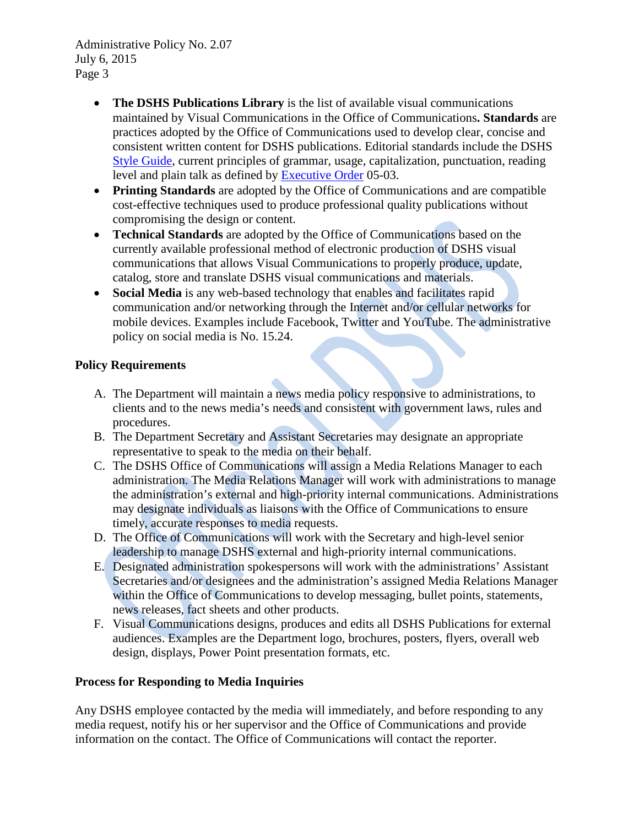Administrative Policy No. 2.07 July 6, 2015 Page 3

- **The DSHS Publications Library** is the list of available visual communications maintained by Visual Communications in the Office of Communications**. Standards** are practices adopted by the Office of Communications used to develop clear, concise and consistent written content for DSHS publications. Editorial standards include the DSHS [Style Guide,](http://exec.dshs.wa.lcl/commdiv/pdf/22-1300.pdf) current principles of grammar, usage, capitalization, punctuation, reading level and plain talk as defined by [Executive Order](http://www.governor.wa.gov/sites/default/files/exe_order/eo_05-03.pdf) 05-03.
- **Printing Standards** are adopted by the Office of Communications and are compatible cost-effective techniques used to produce professional quality publications without compromising the design or content.
- **Technical Standards** are adopted by the Office of Communications based on the currently available professional method of electronic production of DSHS visual communications that allows Visual Communications to properly produce, update, catalog, store and translate DSHS visual communications and materials.
- **Social Media** is any web-based technology that enables and facilitates rapid communication and/or networking through the Internet and/or cellular networks for mobile devices. Examples include Facebook, Twitter and YouTube. The administrative policy on social media is No. 15.24.

# **Policy Requirements**

- A. The Department will maintain a news media policy responsive to administrations, to clients and to the news media's needs and consistent with government laws, rules and procedures.
- B. The Department Secretary and Assistant Secretaries may designate an appropriate representative to speak to the media on their behalf.
- C. The DSHS Office of Communications will assign a Media Relations Manager to each administration. The Media Relations Manager will work with administrations to manage the administration's external and high-priority internal communications. Administrations may designate individuals as liaisons with the Office of Communications to ensure timely, accurate responses to media requests.
- D. The Office of Communications will work with the Secretary and high-level senior leadership to manage DSHS external and high-priority internal communications.
- E. Designated administration spokespersons will work with the administrations' Assistant Secretaries and/or designees and the administration's assigned Media Relations Manager within the Office of Communications to develop messaging, bullet points, statements, news releases, fact sheets and other products.
- F. Visual Communications designs, produces and edits all DSHS Publications for external audiences. Examples are the Department logo, brochures, posters, flyers, overall web design, displays, Power Point presentation formats, etc.

# **Process for Responding to Media Inquiries**

Any DSHS employee contacted by the media will immediately, and before responding to any media request, notify his or her supervisor and the Office of Communications and provide information on the contact. The Office of Communications will contact the reporter.